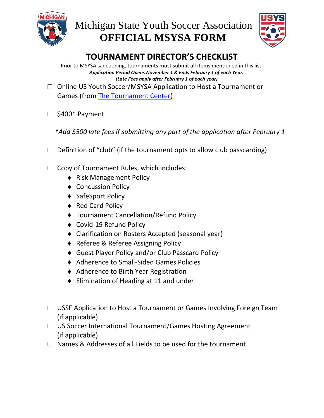



# **TOURNAMENT DIRECTOR'S CHECKLIST**

Prior to MSYSA sanctioning, tournaments must submit all items mentioned in this list. *Application Period Opens November 1 & Ends February 1 of each Year. (Late Fees apply after February 1 of each year)*

- □ Online US Youth Soccer/MSYSA Application to Host a Tournament or Games (from [The Tournament Center\)](https://htgsports.net/tournamentcenter.aspx)
- □ \$400\* Payment

*\*Add \$500 late fees if submitting any part of the application after February 1*

- $\Box$  Definition of "club" (if the tournament opts to allow club passcarding)
- $\Box$  Copy of Tournament Rules, which includes:
	- ◆ Risk Management Policy
	- ◆ Concussion Policy
	- ◆ SafeSport Policy
	- ◆ Red Card Policy
	- Tournament Cancellation/Refund Policy
	- ◆ Covid-19 Refund Policy
	- Clarification on Rosters Accepted (seasonal year)
	- ◆ Referee & Referee Assigning Policy
	- Guest Player Policy and/or Club Passcard Policy
	- Adherence to Small-Sided Games Policies
	- ◆ Adherence to Birth Year Registration
	- ◆ Elimination of Heading at 11 and under
- □ USSF Application to Host a Tournament or Games Involving Foreign Team (if applicable)
- □ US Soccer International Tournament/Games Hosting Agreement (if applicable)
- $\Box$  Names & Addresses of all Fields to be used for the tournament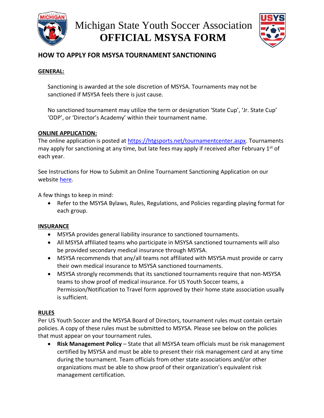



## **HOW TO APPLY FOR MSYSA TOURNAMENT SANCTIONING**

#### **GENERAL:**

Sanctioning is awarded at the sole discretion of MSYSA. Tournaments may not be sanctioned if MSYSA feels there is just cause.

No sanctioned tournament may utilize the term or designation 'State Cup', 'Jr. State Cup' 'ODP', or 'Director's Academy' within their tournament name.

#### **ONLINE APPLICATION:**

The online application is posted at [https://htgsports.net/tournamentcenter.aspx.](https://htgsports.net/tournamentcenter.aspx) Tournaments may apply for sanctioning at any time, but late fees may apply if received after February 1<sup>st</sup> of each year.

See Instructions for How to Submit an Online Tournament Sanctioning Application on our website [here.](https://www.michiganyouthsoccer.org/Events/Club_Tournaments___Sanctioning.htm)

A few things to keep in mind:

• Refer to the MSYSA Bylaws, Rules, Regulations, and Policies regarding playing format for each group.

#### **INSURANCE**

- MSYSA provides general liability insurance to sanctioned tournaments.
- All MSYSA affiliated teams who participate in MSYSA sanctioned tournaments will also be provided secondary medical insurance through MSYSA.
- MSYSA recommends that any/all teams not affiliated with MSYSA must provide or carry their own medical insurance to MSYSA sanctioned tournaments.
- MSYSA strongly recommends that its sanctioned tournaments require that non-MSYSA teams to show proof of medical insurance. For US Youth Soccer teams, a Permission/Notification to Travel form approved by their home state association usually is sufficient.

#### **RULES**

Per US Youth Soccer and the MSYSA Board of Directors, tournament rules must contain certain policies. A copy of these rules must be submitted to MSYSA. Please see below on the policies that must appear on your tournament rules.

• **Risk Management Policy** – State that all MSYSA team officials must be risk management certified by MSYSA and must be able to present their risk management card at any time during the tournament. Team officials from other state associations and/or other organizations must be able to show proof of their organization's equivalent risk management certification.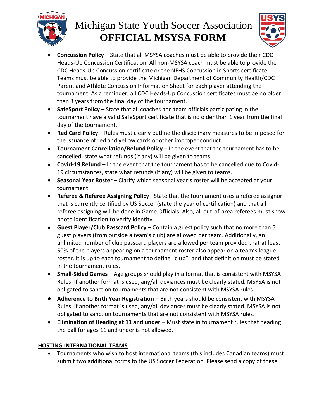

# Michigan State Youth Soccer Association **OFFICIAL MSYSA FORM**



- **Concussion Policy** State that all MSYSA coaches must be able to provide their CDC Heads-Up Concussion Certification. All non-MSYSA coach must be able to provide the CDC Heads-Up Concussion certificate or the NFHS Concussion in Sports certificate. Teams must be able to provide the Michigan Department of Community Health/CDC Parent and Athlete Concussion Information Sheet for each player attending the tournament. As a reminder, all CDC Heads-Up Concussion certificates must be no older than 3 years from the final day of the tournament.
- **SafeSport Policy** State that all coaches and team officials participating in the tournament have a valid SafeSport certificate that is no older than 1 year from the final day of the tournament.
- **Red Card Policy** Rules must clearly outline the disciplinary measures to be imposed for the issuance of red and yellow cards or other improper conduct.
- **Tournament Cancellation/Refund Policy** In the event that the tournament has to be cancelled, state what refunds (if any) will be given to teams.
- **Covid-19 Refund** In the event that the tournament has to be cancelled due to Covid-19 circumstances, state what refunds (if any) will be given to teams.
- **Seasonal Year Roster** Clarify which seasonal year's roster will be accepted at your tournament.
- **Referee & Referee Assigning Policy** –State that the tournament uses a referee assignor that is currently certified by US Soccer (state the year of certification) and that all referee assigning will be done in Game Officials. Also, all out-of-area referees must show photo identification to verify identity.
- **Guest Player/Club Passcard Policy** Contain a guest policy such that no more than 5 guest players (from outside a team's club) are allowed per team. Additionally, an unlimited number of club passcard players are allowed per team provided that at least 50% of the players appearing on a tournament roster also appear on a team's league roster. It is up to each tournament to define "club", and that definition must be stated in the tournament rules.
- **Small-Sided Games** Age groups should play in a format that is consistent with MSYSA Rules. If another format is used, any/all deviances must be clearly stated. MSYSA is not obligated to sanction tournaments that are not consistent with MSYSA rules.
- **Adherence to Birth Year Registration** Birth years should be consistent with MSYSA Rules. If another format is used, any/all deviances must be clearly stated. MSYSA is not obligated to sanction tournaments that are not consistent with MSYSA rules.
- **Elimination of Heading at 11 and under** Must state in tournament rules that heading the ball for ages 11 and under is not allowed.

### **HOSTING INTERNATIONAL TEAMS**

• Tournaments who wish to host international teams (this includes Canadian teams) must submit two additional forms to the US Soccer Federation. Please send a copy of these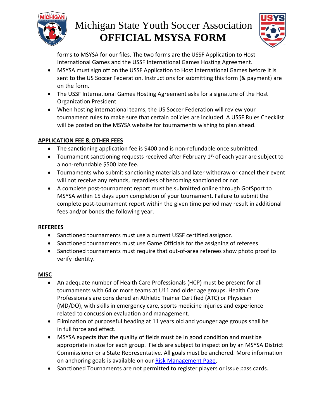

# Michigan State Youth Soccer Association **OFFICIAL MSYSA FORM**



forms to MSYSA for our files. The two forms are the USSF Application to Host International Games and the USSF International Games Hosting Agreement.

- MSYSA must sign off on the USSF Application to Host International Games before it is sent to the US Soccer Federation. Instructions for submitting this form (& payment) are on the form.
- The USSF International Games Hosting Agreement asks for a signature of the Host Organization President.
- When hosting international teams, the US Soccer Federation will review your tournament rules to make sure that certain policies are included. A USSF Rules Checklist will be posted on the MSYSA website for tournaments wishing to plan ahead.

### **APPLICATION FEE & OTHER FEES**

- The sanctioning application fee is \$400 and is non-refundable once submitted.
- Tournament sanctioning requests received after February  $1<sup>st</sup>$  of each year are subject to a non-refundable \$500 late fee.
- Tournaments who submit sanctioning materials and later withdraw or cancel their event will not receive any refunds, regardless of becoming sanctioned or not.
- A complete post-tournament report must be submitted online through GotSport to MSYSA within 15 days upon completion of your tournament. Failure to submit the complete post-tournament report within the given time period may result in additional fees and/or bonds the following year.

### **REFEREES**

- Sanctioned tournaments must use a current USSF certified assignor.
- Sanctioned tournaments must use Game Officials for the assigning of referees.
- Sanctioned tournaments must require that out-of-area referees show photo proof to verify identity.

### **MISC**

- An adequate number of Health Care Professionals (HCP) must be present for all tournaments with 64 or more teams at U11 and older age groups. Health Care Professionals are considered an Athletic Trainer Certified (ATC) or Physician (MD/DO), with skills in emergency care, sports medicine injuries and experience related to concussion evaluation and management.
- Elimination of purposeful heading at 11 years old and younger age groups shall be in full force and effect.
- MSYSA expects that the quality of fields must be in good condition and must be appropriate in size for each group. Fields are subject to inspection by an MSYSA District Commissioner or a State Representative. All goals must be anchored. More information on anchoring goals is available on our [Risk Management Page.](https://www.michiganyouthsoccer.org/Member_Services/Risk_Management_Resources.htm)
- Sanctioned Tournaments are not permitted to register players or issue pass cards.